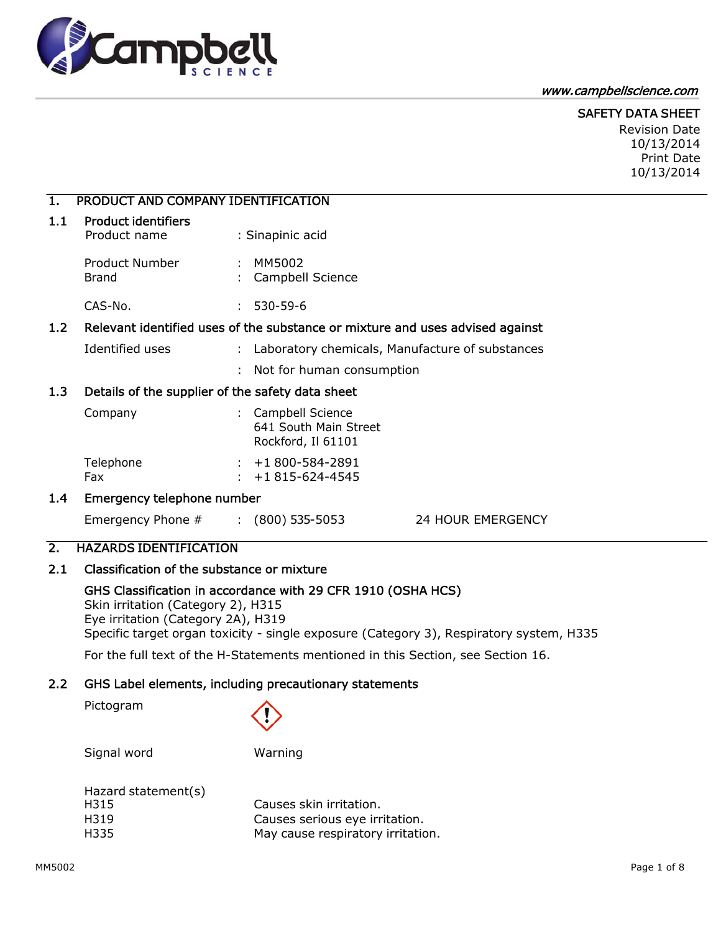

#### www.campbellscience.com

# SAFETY DATA SHEET

Revision Date 10/13/2014 Print Date 10/13/2014

## 1. PRODUCT AND COMPANY IDENTIFICATION

| 1.1 | <b>Product identifiers</b> |
|-----|----------------------------|
|-----|----------------------------|

Product name : Sinapinic acid Product Number : MM5002 Brand : Campbell Science CAS-No. : 530-59-6

## 1.2 Relevant identified uses of the substance or mixture and uses advised against

- Identified uses : Laboratory chemicals, Manufacture of substances
	- : Not for human consumption

## 1.3 Details of the supplier of the safety data sheet

| Company   | : Campbell Science<br>641 South Main Street<br>Rockford, Il 61101 |
|-----------|-------------------------------------------------------------------|
| Telephone | $: +1800 - 584 - 2891$                                            |
| Fax       | $: +1815 - 624 - 4545$                                            |

### 1.4 Emergency telephone number

Emergency Phone # : (800) 535-5053 24 HOUR EMERGENCY

# 2. HAZARDS IDENTIFICATION

### 2.1 Classification of the substance or mixture

### GHS Classification in accordance with 29 CFR 1910 (OSHA HCS)

Skin irritation (Category 2), H315 Eye irritation (Category 2A), H319 Specific target organ toxicity - single exposure (Category 3), Respiratory system, H335

For the full text of the H-Statements mentioned in this Section, see Section 16.

### 2.2 GHS Label elements, including precautionary statements

Pictogram



Signal word Warning

| Hazard statement(s) |                                   |
|---------------------|-----------------------------------|
| H315                | Causes skin irritation.           |
| H319                | Causes serious eye irritation.    |
| H335                | May cause respiratory irritation. |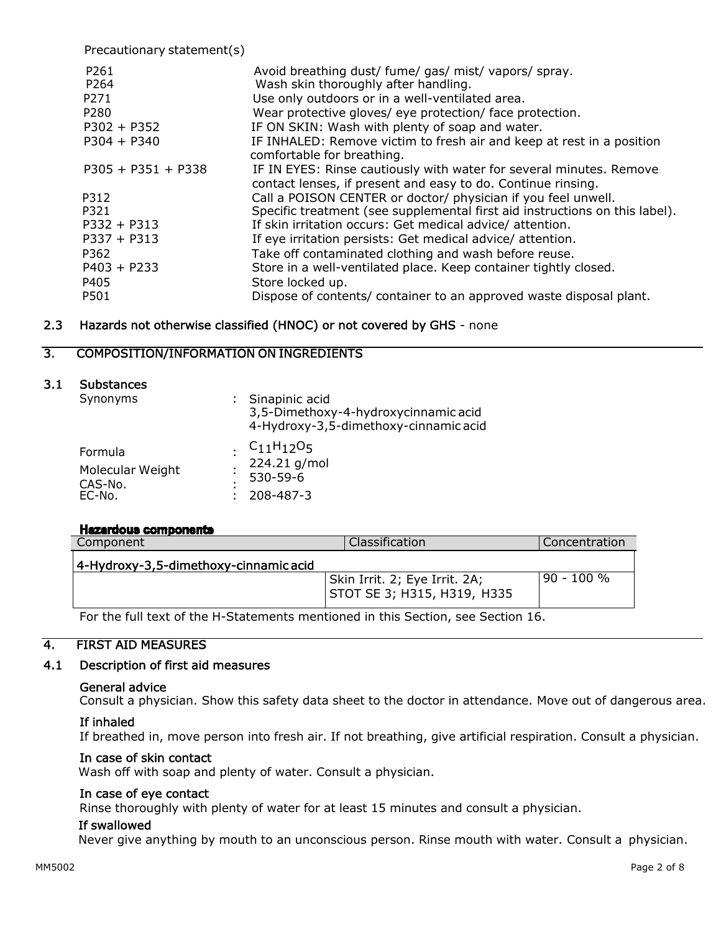Precautionary statement(s) P261 **Avoid breathing dust/ fume/ gas/ mist/ vapors/ spray.** P264 Wash skin thoroughly after handling. P271 Use only outdoors or in a well-ventilated area. P280 Wear protective gloves/ eye protection/ face protection. P302 + P352 IF ON SKIN: Wash with plenty of soap and water. P304 + P340 IF INHALED: Remove victim to fresh air and keep at rest in a position comfortable for breathing. P305 + P351 + P338 IF IN EYES: Rinse cautiously with water for several minutes. Remove contact lenses, if present and easy to do. Continue rinsing. P312 Call a POISON CENTER or doctor/ physician if you feel unwell. P321 Specific treatment (see supplemental first aid instructions on this label). P332 + P313 If skin irritation occurs: Get medical advice/ attention. P337 + P313 If eye irritation persists: Get medical advice/ attention. P362 Take off contaminated clothing and wash before reuse. P403 + P233 Store in a well-ventilated place. Keep container tightly closed. P405 Store locked up. P501 Dispose of contents/ container to an approved waste disposal plant.

## 2.3 Hazards not otherwise classified (HNOC) or not covered by GHS - none

## 3. COMPOSITION/INFORMATION ON INGREDIENTS

### 3.1 Substances

| Synonyms                                         | : Sinapinic acid<br>3,5-Dimethoxy-4-hydroxycinnamic acid<br>4-Hydroxy-3,5-dimethoxy-cinnamic acid |
|--------------------------------------------------|---------------------------------------------------------------------------------------------------|
| Formula<br>Molecular Weight<br>CAS-No.<br>EC-No. | . $C_{11}H_{12}O_5$<br>224.21 g/mol<br>530-59-6<br>208-487-3                                      |

### **Hazardous components**

| Component                             | Classification                | 'Concentration |
|---------------------------------------|-------------------------------|----------------|
| 4-Hydroxy-3,5-dimethoxy-cinnamic acid |                               |                |
|                                       | Skin Irrit. 2; Eye Irrit. 2A; | $90 - 100 %$   |
|                                       | STOT SE 3; H315, H319, H335   |                |

For the full text of the H-Statements mentioned in this Section, see Section 16.

## 4. FIRST AID MEASURES

## 4.1 Description of first aid measures

#### General advice

Consult a physician. Show this safety data sheet to the doctor in attendance. Move out of dangerous area.

### If inhaled

If breathed in, move person into fresh air. If not breathing, give artificial respiration. Consult a physician.

### In case of skin contact

Wash off with soap and plenty of water. Consult a physician.

#### In case of eye contact

Rinse thoroughly with plenty of water for at least 15 minutes and consult a physician.

### If swallowed

Never give anything by mouth to an unconscious person. Rinse mouth with water. Consult a physician.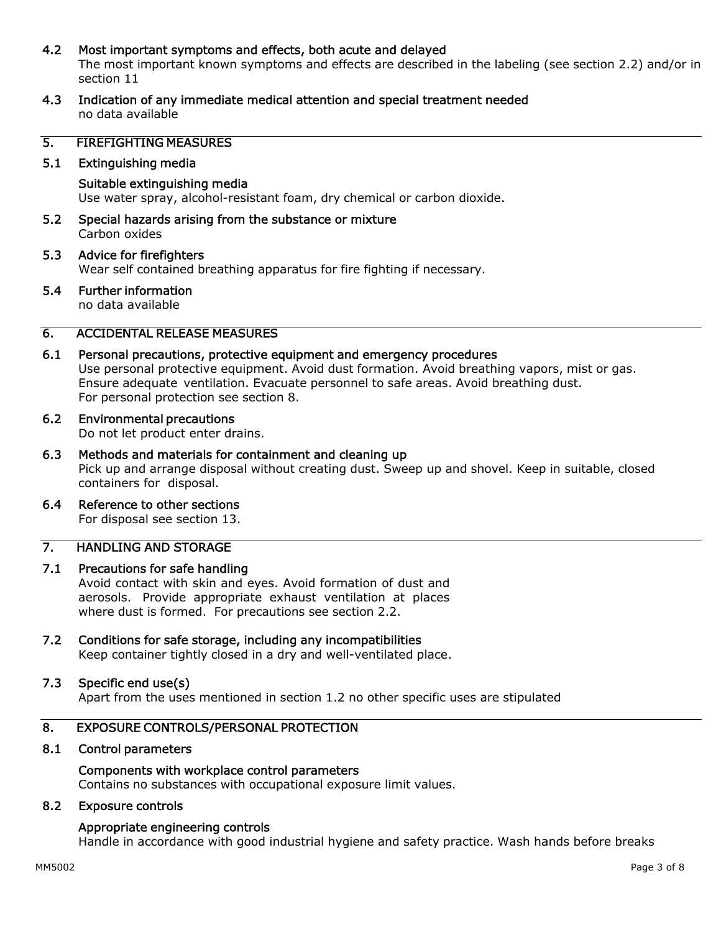### 4.2 Most important symptoms and effects, both acute and delayed

The most important known symptoms and effects are described in the labeling (see section 2.2) and/or in section 11

4.3 Indication of any immediate medical attention and special treatment needed no data available

### 5. FIREFIGHTING MEASURES

#### 5.1 Extinguishing media

### Suitable extinguishing media Use water spray, alcohol-resistant foam, dry chemical or carbon dioxide.

5.2 Special hazards arising from the substance or mixture Carbon oxides

## 5.3 Advice for firefighters Wear self contained breathing apparatus for fire fighting if necessary.

# 5.4 Further information

no data available

## 6. ACCIDENTAL RELEASE MEASURES

### 6.1 Personal precautions, protective equipment and emergency procedures

Use personal protective equipment. Avoid dust formation. Avoid breathing vapors, mist or gas. Ensure adequate ventilation. Evacuate personnel to safe areas. Avoid breathing dust. For personal protection see section 8.

#### 6.2 Environmental precautions

Do not let product enter drains.

#### 6.3 Methods and materials for containment and cleaning up Pick up and arrange disposal without creating dust. Sweep up and shovel. Keep in suitable, closed containers for disposal.

6.4 Reference to other sections

For disposal see section 13.

# 7. HANDLING AND STORAGE

### 7.1 Precautions for safe handling

Avoid contact with skin and eyes. Avoid formation of dust and aerosols. Provide appropriate exhaust ventilation at places where dust is formed. For precautions see section 2.2.

## 7.2 Conditions for safe storage, including any incompatibilities

Keep container tightly closed in a dry and well-ventilated place.

### 7.3 Specific end use(s)

Apart from the uses mentioned in section 1.2 no other specific uses are stipulated

## 8. EXPOSURE CONTROLS/PERSONAL PROTECTION

### 8.1 Control parameters

# Components with workplace control parameters

Contains no substances with occupational exposure limit values.

### 8.2 Exposure controls

### Appropriate engineering controls

Handle in accordance with good industrial hygiene and safety practice. Wash hands before breaks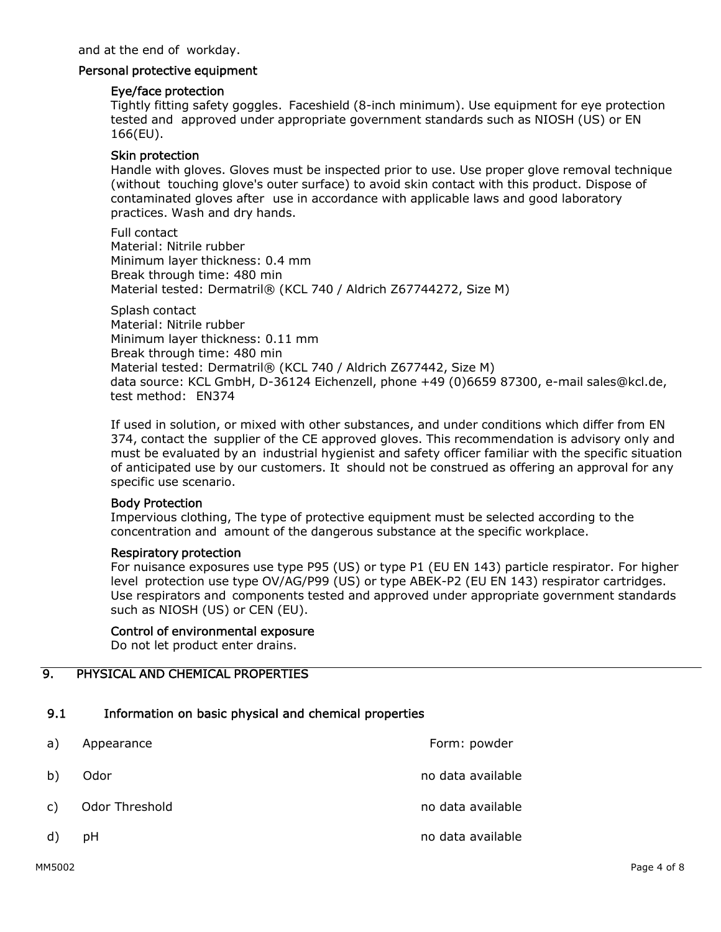### Personal protective equipment

### Eye/face protection

Tightly fitting safety goggles. Faceshield (8-inch minimum). Use equipment for eye protection tested and approved under appropriate government standards such as NIOSH (US) or EN 166(EU).

### Skin protection

Handle with gloves. Gloves must be inspected prior to use. Use proper glove removal technique (without touching glove's outer surface) to avoid skin contact with this product. Dispose of contaminated gloves after use in accordance with applicable laws and good laboratory practices. Wash and dry hands.

Full contact Material: Nitrile rubber Minimum layer thickness: 0.4 mm Break through time: 480 min Material tested: Dermatril® (KCL 740 / Aldrich Z67744272, Size M)

Splash contact Material: Nitrile rubber Minimum layer thickness: 0.11 mm Break through time: 480 min Material tested: Dermatril® (KCL 740 / Aldrich Z677442, Size M) data source: KCL GmbH, D-36124 Eichenzell, phone +49 (0)6659 87300, e-mail sales@kcl.de, test method: EN374

If used in solution, or mixed with other substances, and under conditions which differ from EN 374, contact the supplier of the CE approved gloves. This recommendation is advisory only and must be evaluated by an industrial hygienist and safety officer familiar with the specific situation of anticipated use by our customers. It should not be construed as offering an approval for any specific use scenario.

#### Body Protection

Impervious clothing, The type of protective equipment must be selected according to the concentration and amount of the dangerous substance at the specific workplace.

### Respiratory protection

For nuisance exposures use type P95 (US) or type P1 (EU EN 143) particle respirator. For higher level protection use type OV/AG/P99 (US) or type ABEK-P2 (EU EN 143) respirator cartridges. Use respirators and components tested and approved under appropriate government standards such as NIOSH (US) or CEN (EU).

#### Control of environmental exposure

Do not let product enter drains.

# 9. PHYSICAL AND CHEMICAL PROPERTIES

# 9.1 Information on basic physical and chemical properties

| a) | Appearance        | Form: powder      |
|----|-------------------|-------------------|
| b) | Odor              | no data available |
|    | c) Odor Threshold | no data available |
| d) | рH                | no data available |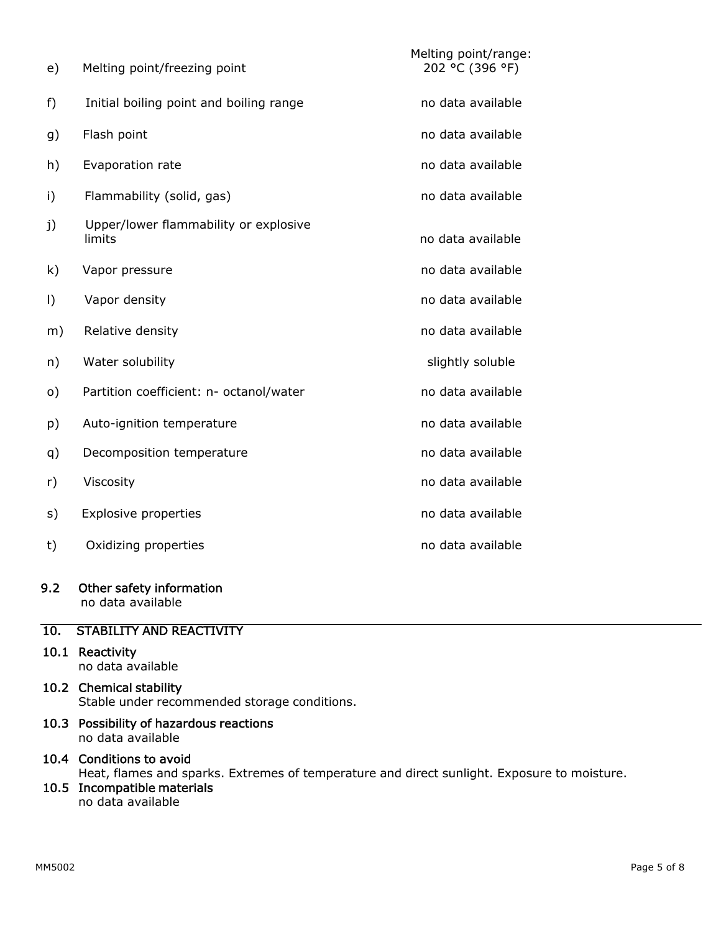| e)      | Melting point/freezing point                    | Melting point/range:<br>202 °C (396 °F) |
|---------|-------------------------------------------------|-----------------------------------------|
| f)      | Initial boiling point and boiling range         | no data available                       |
| g)      | Flash point                                     | no data available                       |
| h)      | Evaporation rate                                | no data available                       |
| i)      | Flammability (solid, gas)                       | no data available                       |
| j)      | Upper/lower flammability or explosive<br>limits | no data available                       |
| k)      | Vapor pressure                                  | no data available                       |
| $\vert$ | Vapor density                                   | no data available                       |
| m)      | Relative density                                | no data available                       |
| n)      | Water solubility                                | slightly soluble                        |
| o)      | Partition coefficient: n- octanol/water         | no data available                       |
| p)      | Auto-ignition temperature                       | no data available                       |
| q)      | Decomposition temperature                       | no data available                       |
| r)      | Viscosity                                       | no data available                       |
| s)      | <b>Explosive properties</b>                     | no data available                       |
| t)      | Oxidizing properties                            | no data available                       |

### 9.2 Other safety information

no data available

# 10. STABILITY AND REACTIVITY

- 10.1 Reactivity no data available
- 10.2 Chemical stability

Stable under recommended storage conditions.

10.3 Possibility of hazardous reactions no data available

## 10.4 Conditions to avoid

Heat, flames and sparks. Extremes of temperature and direct sunlight. Exposure to moisture.

## 10.5 Incompatible materials

no data available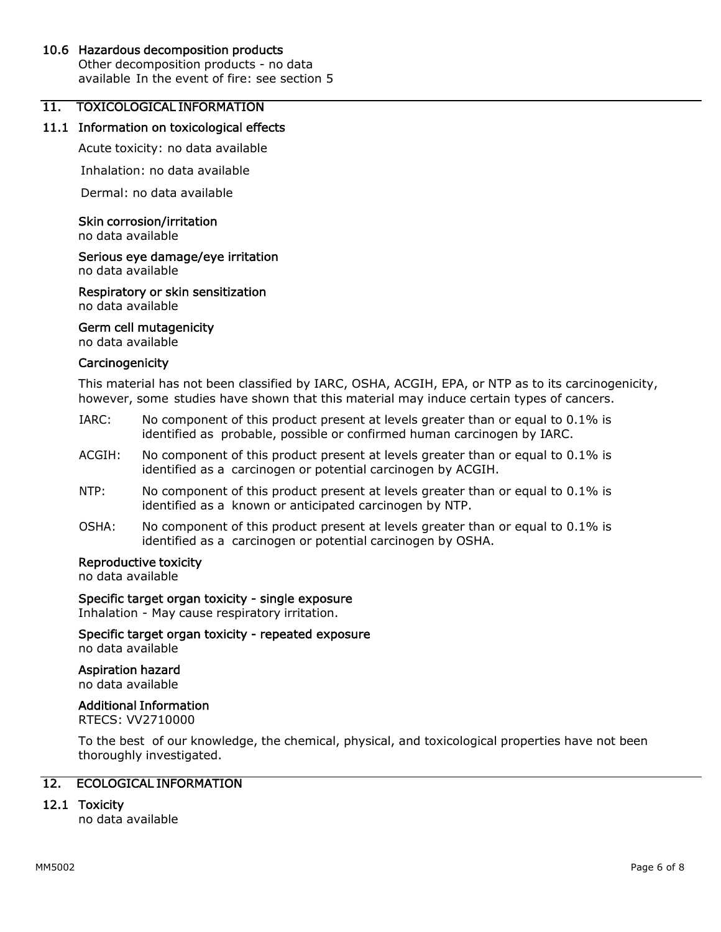### 10.6 Hazardous decomposition products

Other decomposition products - no data available In the event of fire: see section 5

## 11. TOXICOLOGICAL INFORMATION

#### 11.1 Information on toxicological effects

Acute toxicity: no data available

Inhalation: no data available

Dermal: no data available

#### Skin corrosion/irritation

no data available

# Serious eye damage/eye irritation

no data available

Respiratory or skin sensitization no data available

#### Germ cell mutagenicity

no data available

#### **Carcinogenicity**

This material has not been classified by IARC, OSHA, ACGIH, EPA, or NTP as to its carcinogenicity, however, some studies have shown that this material may induce certain types of cancers.

- IARC: No component of this product present at levels greater than or equal to 0.1% is identified as probable, possible or confirmed human carcinogen by IARC.
- ACGIH: No component of this product present at levels greater than or equal to 0.1% is identified as a carcinogen or potential carcinogen by ACGIH.
- NTP: No component of this product present at levels greater than or equal to 0.1% is identified as a known or anticipated carcinogen by NTP.
- OSHA: No component of this product present at levels greater than or equal to 0.1% is identified as a carcinogen or potential carcinogen by OSHA.

### Reproductive toxicity

no data available

#### Specific target organ toxicity - single exposure

Inhalation - May cause respiratory irritation.

Specific target organ toxicity - repeated exposure no data available

Aspiration hazard no data available

### Additional Information

RTECS: VV2710000

To the best of our knowledge, the chemical, physical, and toxicological properties have not been thoroughly investigated.

## 12. ECOLOGICAL INFORMATION

### 12.1 Toxicity

no data available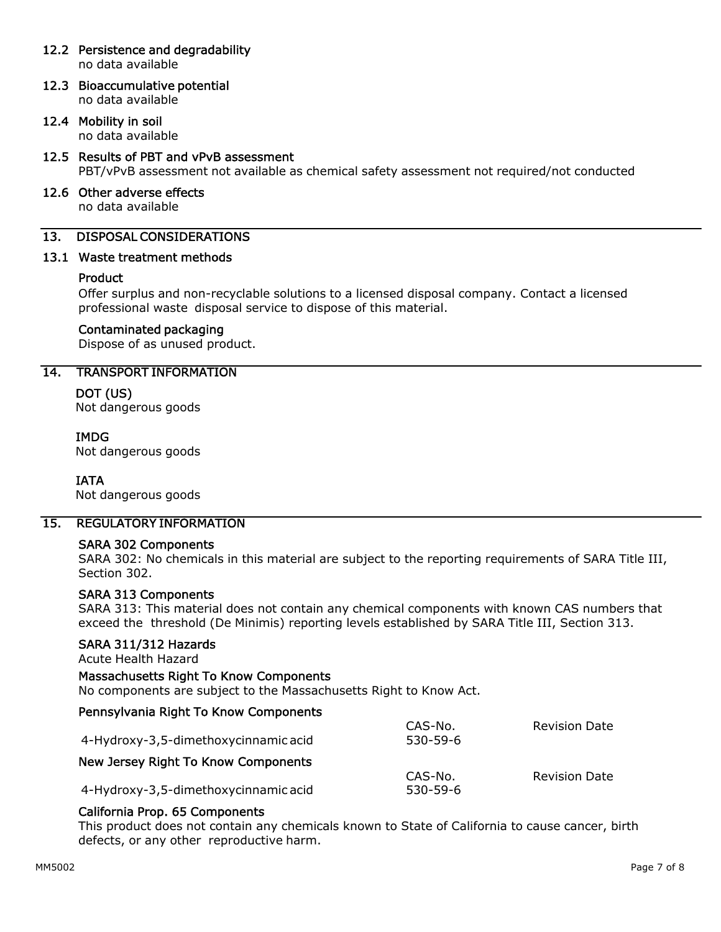## 12.2 Persistence and degradability

no data available

12.3 Bioaccumulative potential no data available

## 12.4 Mobility in soil

no data available

- 12.5 Results of PBT and vPvB assessment PBT/vPvB assessment not available as chemical safety assessment not required/not conducted
- 12.6 Other adverse effects no data available

# 13. DISPOSAL CONSIDERATIONS

## 13.1 Waste treatment methods

## **Product**

Offer surplus and non-recyclable solutions to a licensed disposal company. Contact a licensed professional waste disposal service to dispose of this material.

### Contaminated packaging

Dispose of as unused product.

# 14. TRANSPORT INFORMATION

### DOT (US)

Not dangerous goods

## IMDG

Not dangerous goods

## IATA

Not dangerous goods

## 15. REGULATORY INFORMATION

### SARA 302 Components

SARA 302: No chemicals in this material are subject to the reporting requirements of SARA Title III, Section 302.

### SARA 313 Components

SARA 313: This material does not contain any chemical components with known CAS numbers that exceed the threshold (De Minimis) reporting levels established by SARA Title III, Section 313.

### SARA 311/312 Hazards

Acute Health Hazard

# Massachusetts Right To Know Components

No components are subject to the Massachusetts Right to Know Act.

| 4-Hydroxy-3,5-dimethoxycinnamic acid | CAS-No.<br>530-59-6 | <b>Revision Date</b> |
|--------------------------------------|---------------------|----------------------|
| New Jersey Right To Know Components  |                     |                      |
|                                      | CAS-No.             | <b>Revision Date</b> |
| 4-Hydroxy-3,5-dimethoxycinnamic acid | 530-59-6            |                      |

# California Prop. 65 Components

This product does not contain any chemicals known to State of California to cause cancer, birth defects, or any other reproductive harm.